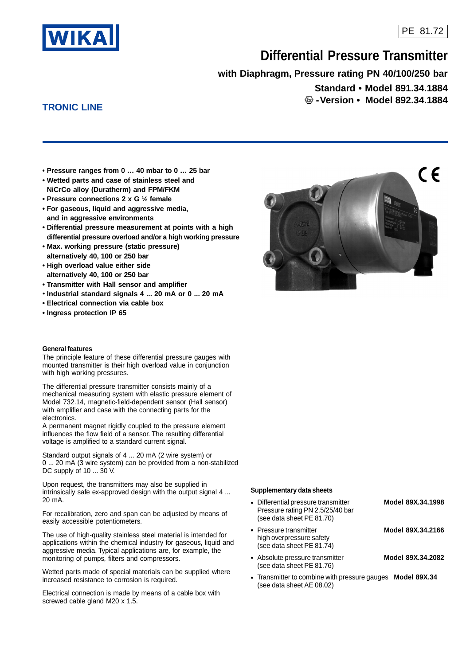

# **Differential Pressure Transmitter**

**with Diaphragm, Pressure rating PN 40/100/250 bar**

**Standard • Model 891.34.1884 -Version • Model 892.34.1884**

# **TRONIC LINE**

**• Pressure ranges from 0 … 40 mbar to 0 … 25 bar**

- **Wetted parts and case of stainless steel and NiCrCo alloy (Duratherm) and FPM/FKM**
- **Pressure connections 2 x G ½ female**
- **For gaseous, liquid and aggressive media, and in aggressive environments**
- **Differential pressure measurement at points with a high differential pressure overload and/or a high working pressure**
- **Max. working pressure (static pressure) alternatively 40, 100 or 250 bar**
- **High overload value either side alternatively 40, 100 or 250 bar**
- **Transmitter with Hall sensor and amplifier**
- **Industrial standard signals 4 ... 20 mA or 0 ... 20 mA**
- **Electrical connection via cable box**
- **Ingress protection IP 65**

#### **General features**

The principle feature of these differential pressure gauges with mounted transmitter is their high overload value in conjunction with high working pressures.

The differential pressure transmitter consists mainly of a mechanical measuring system with elastic pressure element of Model 732.14, magnetic-field-dependent sensor (Hall sensor) with amplifier and case with the connecting parts for the electronics.

A permanent magnet rigidly coupled to the pressure element influences the flow field of a sensor. The resulting differential voltage is amplified to a standard current signal.

Standard output signals of 4 ... 20 mA (2 wire system) or 0 ... 20 mA (3 wire system) can be provided from a non-stabilized DC supply of 10 ... 30 V.

Upon request, the transmitters may also be supplied in intrinsically safe ex-approved design with the output signal 4 ... 20 mA.

For recalibration, zero and span can be adjusted by means of easily accessible potentiometers.

The use of high-quality stainless steel material is intended for applications within the chemical industry for gaseous, liquid and aggressive media. Typical applications are, for example, the monitoring of pumps, filters and compressors.

Wetted parts made of special materials can be supplied where increased resistance to corrosion is required.

Electrical connection is made by means of a cable box with screwed cable gland M20 x 1.5.



#### **Supplementary data sheets**

| • Differential pressure transmitter<br>Pressure rating PN 2.5/25/40 bar<br>(see data sheet PE 81.70) | Model 89X.34.1998 |
|------------------------------------------------------------------------------------------------------|-------------------|
| • Pressure transmitter<br>high overpressure safety<br>(see data sheet PE 81.74)                      | Model 89X.34.2166 |
| • Absolute pressure transmitter<br>(see data sheet PE 81.76)                                         | Model 89X.34.2082 |

• Transmitter to combine with pressure gauges **Model 89X.34** (see data sheet AE 08.02)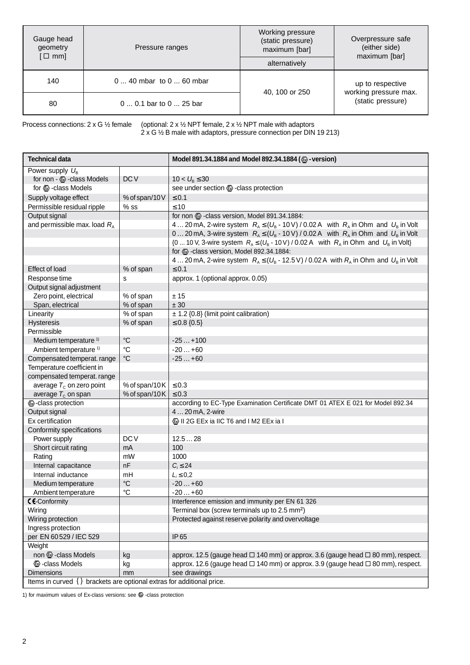| Gauge head<br>geometry<br>$[\Box$ mm] | Pressure ranges          | Working pressure<br>(static pressure)<br>maximum [bar]<br>alternatively | Overpressure safe<br>(either side)<br>maximum [bar] |
|---------------------------------------|--------------------------|-------------------------------------------------------------------------|-----------------------------------------------------|
| 140                                   | $040$ mbar to $060$ mbar | 40, 100 or 250                                                          | up to respective<br>working pressure max.           |
| 80                                    | 0  0.1 bar to 0  25 bar  | (static pressure)                                                       |                                                     |

Process connections: 2 x G ½ female (optional: 2 x ½ NPT female, 2 x ½ NPT male with adaptors 2 x G ½ B male with adaptors, pressure connection per DIN 19 213)

| <b>Technical data</b>                                                     |                 | Model 891.34.1884 and Model 892.34.1884 (@-version)                                                           |  |  |
|---------------------------------------------------------------------------|-----------------|---------------------------------------------------------------------------------------------------------------|--|--|
| Power supply $U_{B}$                                                      |                 |                                                                                                               |  |  |
| for non - & - class Models                                                | DC <sub>V</sub> | $10 < U_{\rm B} \leq 30$                                                                                      |  |  |
| for $\circled{2}$ -class Models                                           |                 | see under section & -class protection                                                                         |  |  |
| Supply voltage effect                                                     | % of span/10V   | $\leq 0.1$                                                                                                    |  |  |
| Permissible residual ripple                                               | $%$ ss          | $\leq 10$                                                                                                     |  |  |
| Output signal                                                             |                 | for non & -class version, Model 891.34.1884:                                                                  |  |  |
| and permissible max. load $R_A$                                           |                 | 4 20 mA, 2-wire system $R_A \le (U_B - 10 \text{ V}) / 0.02 \text{ A}$ with $R_A$ in Ohm and $U_B$ in Volt    |  |  |
|                                                                           |                 | 0 20 mA, 3-wire system $R_A \le (U_B - 10 \text{ V}) / 0.02 \text{ A}$ with $R_A$ in Ohm and $U_B$ in Volt    |  |  |
|                                                                           |                 | {0  10 V, 3-wire system $R_A \le (U_B - 10 V) / 0.02 A$ with $R_A$ in Ohm and $U_B$ in Volt}                  |  |  |
|                                                                           |                 | for & class version, Model 892.34.1884:                                                                       |  |  |
|                                                                           |                 | 4 20 mA, 2-wire system $R_A \leq (U_B - 12.5 \text{ V}) / 0.02 \text{ A}$ with $R_A$ in Ohm and $U_B$ in Volt |  |  |
| Effect of load                                                            | % of span       | $\leq 0.1$                                                                                                    |  |  |
| Response time                                                             | s               | approx. 1 (optional approx. 0.05)                                                                             |  |  |
| Output signal adjustment                                                  |                 |                                                                                                               |  |  |
| Zero point, electrical                                                    | % of span       | ± 15                                                                                                          |  |  |
| Span, electrical                                                          | % of span       | ± 30                                                                                                          |  |  |
| Linearity                                                                 | % of span       | ± 1.2 {0.8} (limit point calibration)                                                                         |  |  |
| Hysteresis                                                                | % of span       | $\leq 0.8 \{0.5\}$                                                                                            |  |  |
| Permissible                                                               |                 |                                                                                                               |  |  |
| Medium temperature <sup>1)</sup>                                          | $^{\circ}C$     | $-25+100$                                                                                                     |  |  |
| Ambient temperature <sup>1)</sup>                                         | °C              | $-20+60$                                                                                                      |  |  |
| Compensated temperat. range                                               | $^{\circ}C$     | $-25+60$                                                                                                      |  |  |
| Temperature coefficient in                                                |                 |                                                                                                               |  |  |
| compensated temperat. range                                               |                 |                                                                                                               |  |  |
| average $T_c$ on zero point                                               | % of span/10K   | $\leq 0.3$                                                                                                    |  |  |
| average $T_c$ on span                                                     | % of span/10K   | $\leq 0.3$                                                                                                    |  |  |
| <b>&amp;-class protection</b>                                             |                 | according to EC-Type Examination Certificate DMT 01 ATEX E 021 for Model 892.34                               |  |  |
| Output signal                                                             |                 | 420 mA, 2-wire                                                                                                |  |  |
| Ex certification                                                          |                 | II 2G EEx ia IIC T6 and I M2 EEx ia I                                                                         |  |  |
| Conformity specifications                                                 |                 |                                                                                                               |  |  |
| Power supply                                                              | DC <sub>V</sub> | 12.528                                                                                                        |  |  |
| Short circuit rating                                                      | mA              | 100                                                                                                           |  |  |
| Rating                                                                    | mW              | 1000                                                                                                          |  |  |
| Internal capacitance                                                      | nF              | $C_i \leq 24$                                                                                                 |  |  |
| Internal inductance                                                       | mH              | $L_i \leq 0.2$                                                                                                |  |  |
| Medium temperature                                                        | $\rm ^{\circ}C$ | $-20+60$                                                                                                      |  |  |
| Ambient temperature                                                       | $^{\circ}C$     | $-20+60$                                                                                                      |  |  |
| C C-Conformity                                                            |                 | Interference emission and immunity per EN 61 326                                                              |  |  |
| Wiring                                                                    |                 | Terminal box (screw terminals up to 2.5 mm <sup>2</sup> )                                                     |  |  |
| Wiring protection                                                         |                 | Protected against reserve polarity and overvoltage                                                            |  |  |
| Ingress protection                                                        |                 |                                                                                                               |  |  |
| per EN 60 529 / IEC 529                                                   |                 | IP 65                                                                                                         |  |  |
| Weight                                                                    |                 |                                                                                                               |  |  |
| non & -class Models                                                       | kg              | approx. 12.5 (gauge head □ 140 mm) or approx. 3.6 (gauge head □ 80 mm), respect.                              |  |  |
| <b>&amp;</b> -class Models                                                | kg              | approx. 12.6 (gauge head □ 140 mm) or approx. 3.9 (gauge head □ 80 mm), respect.                              |  |  |
| Dimensions                                                                | mm              | see drawings                                                                                                  |  |  |
| Items in curved $\{\}$ brackets are optional extras for additional price. |                 |                                                                                                               |  |  |

1) for maximum values of Ex-class versions: see  $\bullet$  -class protection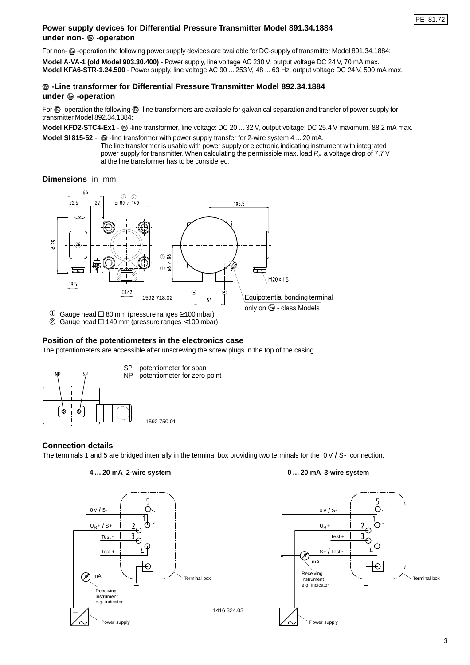## **Power supply devices for Differential Pressure Transmitter Model 891.34.1884** under non-  $\circledast$  -operation

For non-  $\circledR$ -operation the following power supply devices are available for DC-supply of transmitter Model 891.34.1884:

**Model A-VA-1 (old Model 903.30.400)** - Power supply, line voltage AC 230 V, output voltage DC 24 V, 70 mA max. **Model KFA6-STR-1.24.500** - Power supply, line voltage AC 90 ... 253 V, 48 ... 63 Hz, output voltage DC 24 V, 500 mA max.

## **-Line transformer for Differential Pressure Transmitter Model 892.34.1884** under  $\circledast$  -operation

For  $\bullet$  -operation the following  $\bullet$  -line transformers are available for galvanical separation and transfer of power supply for transmitter Model 892.34.1884:

**Model KFD2-STC4-Ex1** -  $\bullet$  -line transformer, line voltage: DC 20 ... 32 V, output voltage: DC 25.4 V maximum, 88.2 mA max.

**Model SI 815-52** -  $\textcircled{\tiny{\textbf{R}}}$  -line transformer with power supply transfer for 2-wire system 4 ... 20 mA.

The line transformer is usable with power supply or electronic indicating instrument with integrated power supply for transmitter. When calculating the permissible max. load  $R_a$  a voltage drop of 7.7 V at the line transformer has to be considered.

#### **Dimensions** in mm



 $\overline{O}$  Gauge head  $\overline{O}$  80 mm (pressure ranges ≥100 mbar)

 $\oslash$  Gauge head  $\square$  140 mm (pressure ranges < 100 mbar)

# **Position of the potentiometers in the electronics case**

The potentiometers are accessible after unscrewing the screw plugs in the top of the casing.



# **Connection details**

The terminals 1 and 5 are bridged internally in the terminal box providing two terminals for the  $0 \vee 1$  S- connection.



#### **4 … 20 mA 2-wire system 0 … 20 mA 3-wire system**